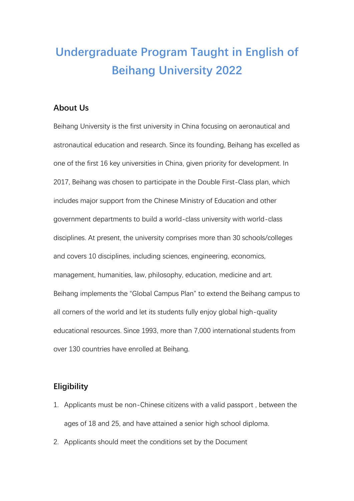# **Undergraduate Program Taught in English of Beihang University 2022**

### **About Us**

Beihang University is the first university in China focusing on aeronautical and astronautical education and research. Since its founding, Beihang has excelled as one of the first 16 key universities in China, given priority for development. In 2017, Beihang was chosen to participate in the Double First-Class plan, which includes major support from the Chinese Ministry of Education and other government departments to build a world-class university with world-class disciplines. At present, the university comprises more than 30 schools/colleges and covers 10 disciplines, including sciences, engineering, economics, management, humanities, law, philosophy, education, medicine and art. Beihang implements the "Global Campus Plan" to extend the Beihang campus to all corners of the world and let its students fully enjoy global high-quality educational resources. Since 1993, more than 7,000 international students from over 130 countries have enrolled at Beihang.

#### **Eligibility**

- 1. Applicants must be non-Chinese citizens with a valid passport , between the ages of 18 and 25, and have attained a senior high school diploma.
- 2. Applicants should meet the conditions set by the Document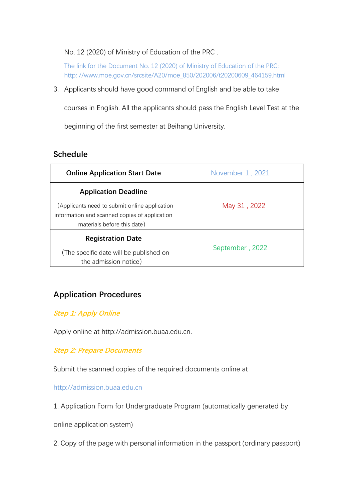No. 12 (2020) of Ministry of Education of the PRC .

The link for the Document No. 12 (2020) of Ministry of Education of the PRC: http: //www.moe.gov.cn/srcsite/A20/moe\_850/202006/t20200609\_464159.html

3. Applicants should have good command of English and be able to take

courses in English. All the applicants should pass the English Level Test at the

beginning of the first semester at Beihang University.

## **Schedule**

| <b>Online Application Start Date</b>                                                                                                                         | November 1, 2021 |
|--------------------------------------------------------------------------------------------------------------------------------------------------------------|------------------|
| <b>Application Deadline</b><br>(Applicants need to submit online application<br>information and scanned copies of application<br>materials before this date) | May 31, 2022     |
| <b>Registration Date</b><br>(The specific date will be published on<br>the admission notice)                                                                 | September, 2022  |

## **Application Procedures**

#### **Step 1: Apply Online**

Apply online at http://admission.buaa.edu.cn.

**Step 2: Prepare Documents**

Submit the scanned copies of the required documents online at

http://admission.buaa.edu.cn

1. Application Form for Undergraduate Program (automatically generated by

online application system)

2. Copy of the page with personal information in the passport (ordinary passport)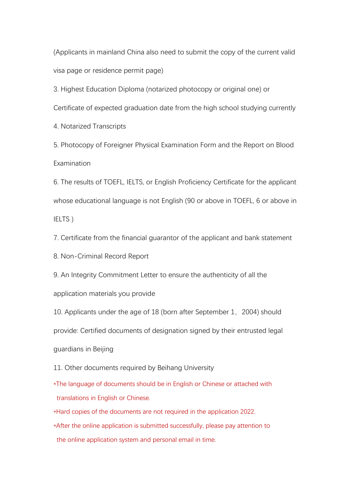(Applicants in mainland China also need to submit the copy of the current valid visa page or residence permit page)

3. Highest Education Diploma (notarized photocopy or original one) or Certificate of expected graduation date from the high school studying currently

4. Notarized Transcripts

5. Photocopy of Foreigner Physical Examination Form and the Report on Blood Examination

6. The results of TOEFL, IELTS, or English Proficiency Certificate for the applicant whose educational language is not English (90 or above in TOEFL, 6 or above in IELTS )

7. Certificate from the financial guarantor of the applicant and bank statement

8. Non-Criminal Record Report

9. An Integrity Commitment Letter to ensure the authenticity of all the

application materials you provide

10. Applicants under the age of 18 (born after September 1,2004) should provide: Certified documents of designation signed by their entrusted legal guardians in Beijing

11. Other documents required by Beihang University

\*The language of documents should be in English or Chinese or attached with translations in English or Chinese.

\*Hard copies of the documents are not required in the application 2022.

\*After the online application is submitted successfully, please pay attention to the online application system and personal email in time.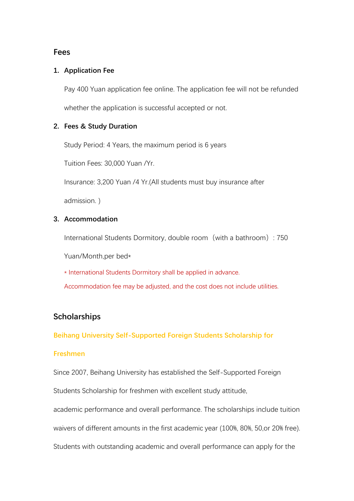#### **Fees**

#### **1. Application Fee**

Pay 400 Yuan application fee online. The application fee will not be refunded whether the application is successful accepted or not.

#### **2. Fees & Study Duration**

Study Period: 4 Years, the maximum period is 6 years

Tuition Fees: 30,000 Yuan /Yr.

Insurance: 3,200 Yuan /4 Yr.(All students must buy insurance after

admission. )

#### **3. Accommodation**

International Students Dormitory, double room(with a bathroom): 750

Yuan/Month,per bed\*

\* International Students Dormitory shall be applied in advance.

Accommodation fee may be adjusted, and the cost does not include utilities.

## **Scholarships**

**Beihang University Self-Supported Foreign Students Scholarship for**

#### **Freshmen**

Since 2007, Beihang University has established the Self-Supported Foreign

Students Scholarship for freshmen with excellent study attitude,

academic performance and overall performance. The scholarships include tuition

waivers of different amounts in the first academic year (100%, 80%, 50,or 20% free).

Students with outstanding academic and overall performance can apply for the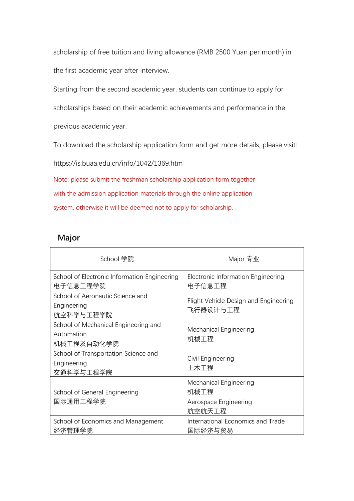scholarship of free tuition and living allowance (RMB 2500 Yuan per month) in the first academic year after interview.

Starting from the second academic year, students can continue to apply for

scholarships based on their academic achievements and performance in the

previous academic year.

To download the scholarship application form and get more details, please visit:

https://is.buaa.edu.cn/info/1042/1369.htm

Note: please submit the freshman scholarship application form together with the admission application materials through the online application system, otherwise it will be deemed not to apply for scholarship.

## **Major**

| School 学院                                                        | Major 专业                                          |
|------------------------------------------------------------------|---------------------------------------------------|
| School of Electronic Information Engineering<br>电子信息工程学院         | Electronic Information Engineering<br>电子信息工程      |
| School of Aeronautic Science and<br>Engineering<br>航空科学与工程学院     | Flight Vehicle Design and Engineering<br>飞行器设计与工程 |
| School of Mechanical Engineering and<br>Automation<br>机械工程及自动化学院 | Mechanical Engineering<br>机械工程                    |
| School of Transportation Science and<br>Engineering<br>交通科学与工程学院 | Civil Engineering<br>土木工程                         |
| 机械工程<br>School of General Engineering<br>国际通用工程学院                | Mechanical Engineering                            |
|                                                                  | Aerospace Engineering<br>航空航天工程                   |
| School of Economics and Management<br>经济管理学院                     | International Economics and Trade<br>国际经济与贸易      |